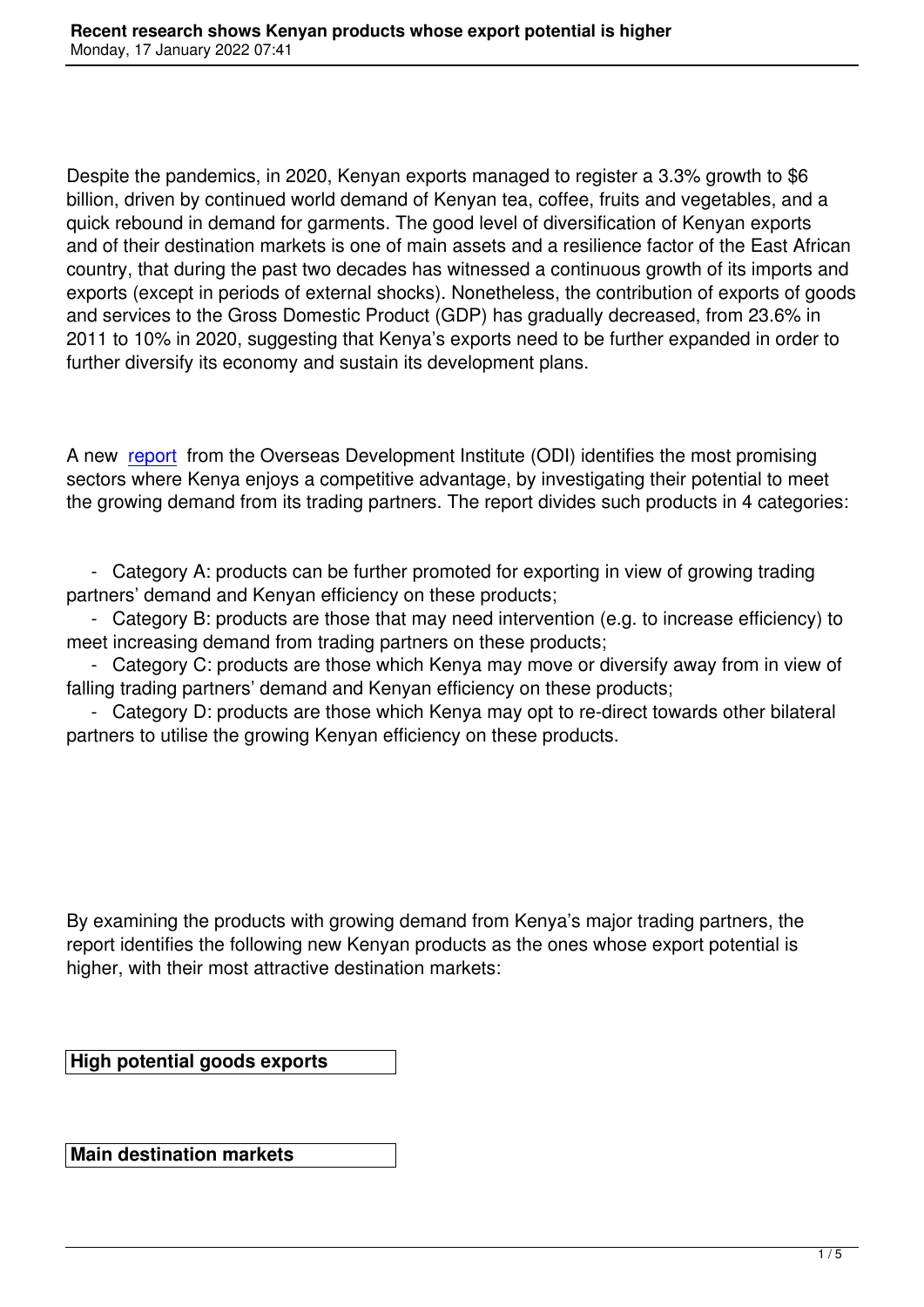Despite the pandemics, in 2020, Kenyan exports managed to register a 3.3% growth to \$6 billion, driven by continued world demand of Kenyan tea, coffee, fruits and vegetables, and a quick rebound in demand for garments. The good level of diversification of Kenyan exports and of their destination markets is one of main assets and a resilience factor of the East African country, that during the past two decades has witnessed a continuous growth of its imports and exports (except in periods of external shocks). Nonetheless, the contribution of exports of goods and services to the Gross Domestic Product (GDP) has gradually decreased, from 23.6% in 2011 to 10% in 2020, suggesting that Kenya's exports need to be further expanded in order to further diversify its economy and sustain its development plans.

A new report from the Overseas Development Institute (ODI) identifies the most promising sectors where Kenya enjoys a competitive advantage, by investigating their potential to meet the growing demand from its trading partners. The report divides such products in 4 categories:

 - Category A: products can be further promoted for exporting in view of growing trading partners' demand and Kenyan efficiency on these products;

 - Category B: products are those that may need intervention (e.g. to increase efficiency) to meet increasing demand from trading partners on these products;

 - Category C: products are those which Kenya may move or diversify away from in view of falling trading partners' demand and Kenyan efficiency on these products;

 - Category D: products are those which Kenya may opt to re-direct towards other bilateral partners to utilise the growing Kenyan efficiency on these products.

By examining the products with growing demand from Kenya's major trading partners, the report identifies the following new Kenyan products as the ones whose export potential is higher, with their most attractive destination markets:

**High potential goods exports**

**Main destination markets**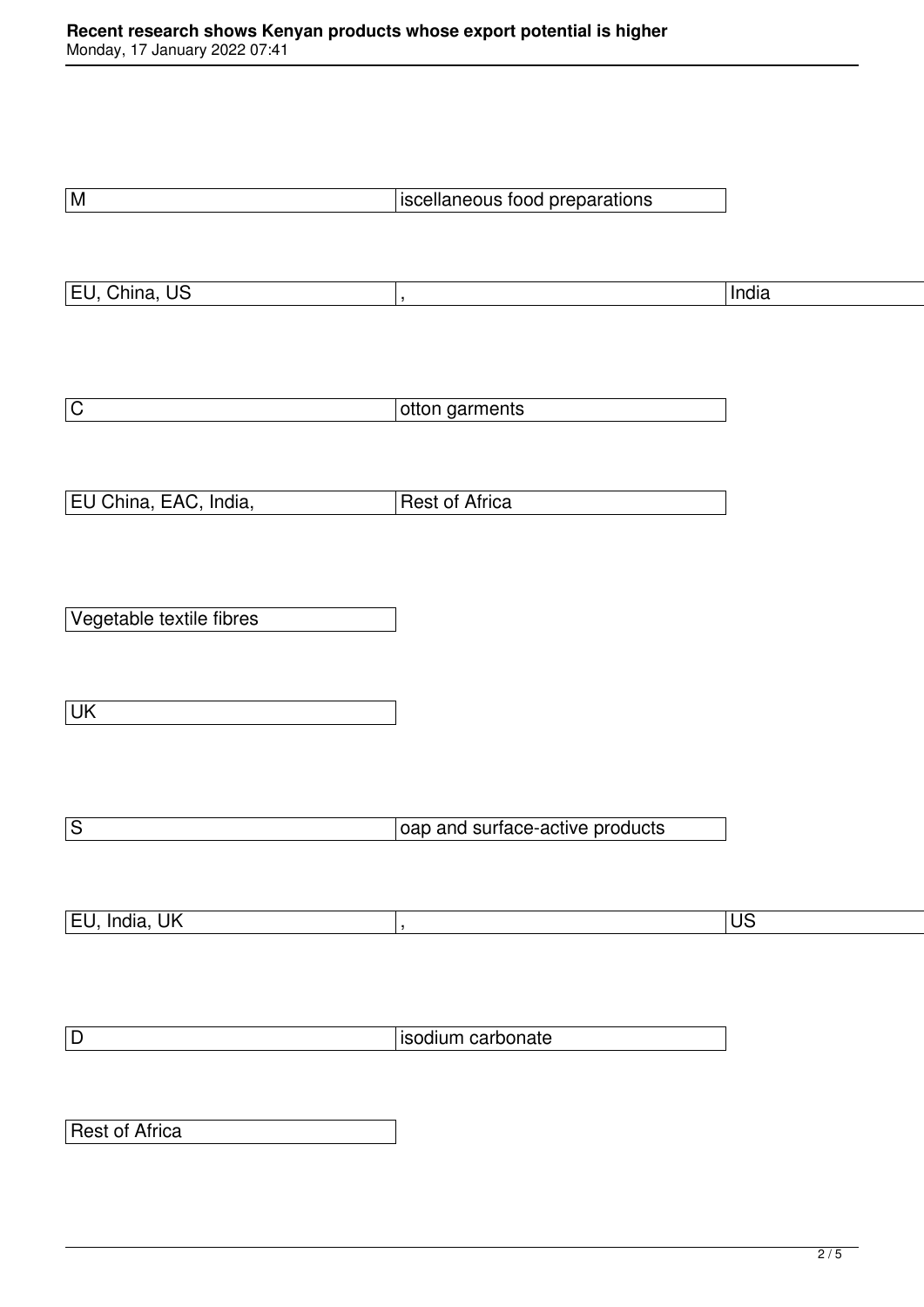| $\overline{\mathsf{M}}$  | iscellaneous food preparations  |                          |
|--------------------------|---------------------------------|--------------------------|
|                          |                                 |                          |
|                          |                                 |                          |
| EU, China, US            |                                 | India                    |
|                          | $\overline{\phantom{a}}$        |                          |
|                          |                                 |                          |
|                          |                                 |                          |
|                          |                                 |                          |
| $\overline{\mathsf{C}}$  | otton garments                  |                          |
|                          |                                 |                          |
|                          |                                 |                          |
| EU China, EAC, India,    | Rest of Africa                  |                          |
|                          |                                 |                          |
|                          |                                 |                          |
|                          |                                 |                          |
| Vegetable textile fibres |                                 |                          |
|                          |                                 |                          |
|                          |                                 |                          |
| UK                       |                                 |                          |
|                          |                                 |                          |
|                          |                                 |                          |
|                          |                                 |                          |
|                          |                                 |                          |
| $\overline{\mathsf{s}}$  | oap and surface-active products |                          |
|                          |                                 |                          |
|                          |                                 |                          |
| EU, India, UK            | $\overline{\phantom{a}}$        | $\overline{\mathsf{US}}$ |
|                          |                                 |                          |
|                          |                                 |                          |
|                          |                                 |                          |
| $\boxed{\mathsf{D}}$     | isodium carbonate               |                          |
|                          |                                 |                          |
|                          |                                 |                          |
| <b>Rest of Africa</b>    |                                 |                          |
|                          |                                 |                          |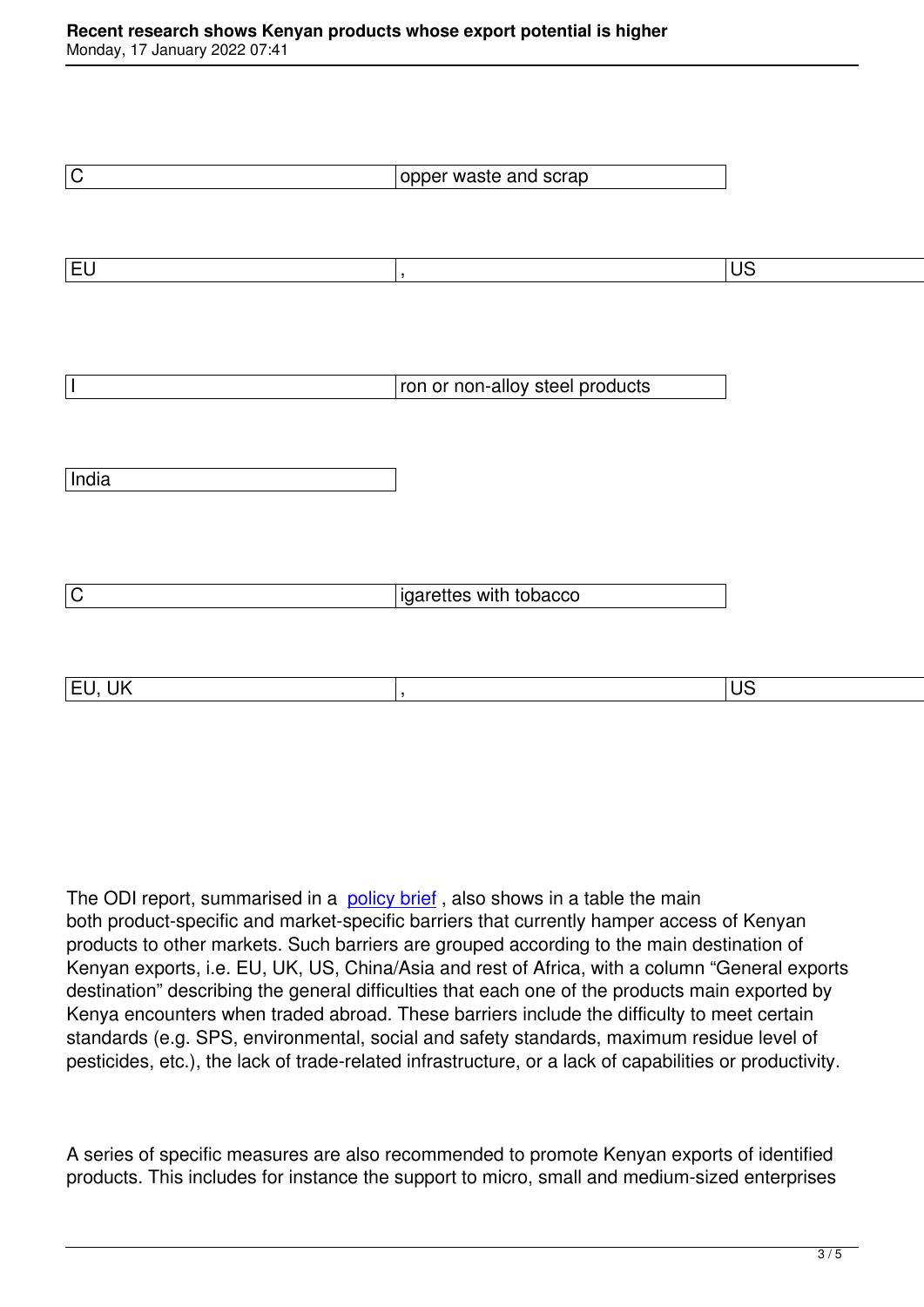| $\overline{C}$           | opper waste and scrap           |                 |
|--------------------------|---------------------------------|-----------------|
|                          |                                 |                 |
|                          |                                 |                 |
| $E$ U                    |                                 | $\overline{US}$ |
|                          | $\overline{\phantom{a}}$        |                 |
|                          |                                 |                 |
|                          |                                 |                 |
|                          |                                 |                 |
| $\overline{\phantom{a}}$ | ron or non-alloy steel products |                 |
|                          |                                 |                 |
|                          |                                 |                 |
| India                    |                                 |                 |
|                          |                                 |                 |
|                          |                                 |                 |
|                          |                                 |                 |
|                          |                                 |                 |
| $\mathsf C$              | igarettes with tobacco          |                 |
|                          |                                 |                 |
|                          |                                 |                 |
| EU, UK                   | $\overline{\phantom{a}}$        | $\overline{US}$ |
|                          |                                 |                 |

The ODI report, summarised in a policy brief, also shows in a table the main both product-specific and market-specific barriers that currently hamper access of Kenyan products to other markets. Such barriers are grouped according to the main destination of Kenyan exports, i.e. EU, UK, US, [China/Asia](https://cdn.odi.org/media/documents/Promoting_Kenyan_exports.pdf) and rest of Africa, with a column "General exports destination" describing the general difficulties that each one of the products main exported by Kenya encounters when traded abroad. These barriers include the difficulty to meet certain standards (e.g. SPS, environmental, social and safety standards, maximum residue level of pesticides, etc.), the lack of trade-related infrastructure, or a lack of capabilities or productivity.

A series of specific measures are also recommended to promote Kenyan exports of identified products. This includes for instance the support to micro, small and medium-sized enterprises